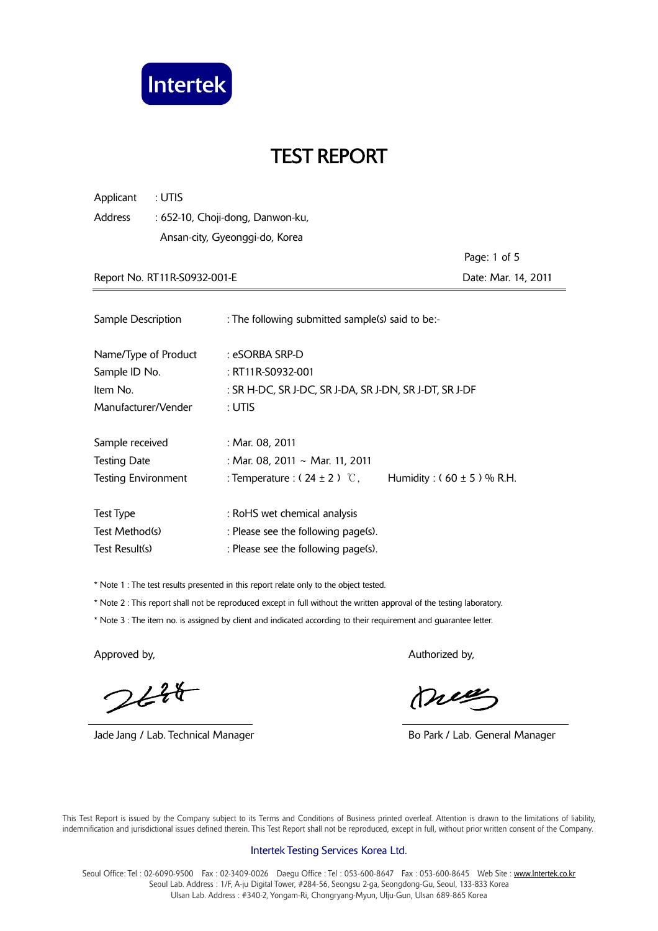

| : UTIS<br>Applicant                         |                                                                   |                     |  |  |
|---------------------------------------------|-------------------------------------------------------------------|---------------------|--|--|
| Address<br>: 652-10, Choji-dong, Danwon-ku, |                                                                   |                     |  |  |
|                                             | Ansan-city, Gyeonggi-do, Korea                                    |                     |  |  |
|                                             |                                                                   | Page: 1 of 5        |  |  |
| Report No. RT11R-S0932-001-E                |                                                                   | Date: Mar. 14, 2011 |  |  |
|                                             |                                                                   |                     |  |  |
| Sample Description                          | : The following submitted sample(s) said to be:-                  |                     |  |  |
| Name/Type of Product                        | : eSORBA SRP-D                                                    |                     |  |  |
| Sample ID No.                               | : RT11R-S0932-001                                                 |                     |  |  |
| Item No.                                    | : SR H-DC, SR J-DC, SR J-DA, SR J-DN, SR J-DT, SR J-DF            |                     |  |  |
| Manufacturer/Vender                         | : Utis                                                            |                     |  |  |
| Sample received                             | : Mar. 08, 2011                                                   |                     |  |  |
| <b>Testing Date</b>                         | : Mar. 08, 2011 ~ Mar. 11, 2011                                   |                     |  |  |
| <b>Testing Environment</b>                  | : Temperature : $(24 \pm 2)$ °C,<br>Humidity: $(60 \pm 5)$ % R.H. |                     |  |  |
|                                             |                                                                   |                     |  |  |
| <b>Test Type</b>                            | : RoHS wet chemical analysis                                      |                     |  |  |
| Test Method(s)                              | : Please see the following page(s).                               |                     |  |  |
| Test Result(s)                              | : Please see the following page(s).                               |                     |  |  |

\* Note 1 : The test results presented in this report relate only to the object tested.

\* Note 2 : This report shall not be reproduced except in full without the written approval of the testing laboratory.

\* Note 3 : The item no. is assigned by client and indicated according to their requirement and guarantee letter.

 $244$ 

Jade Jang / Lab. Technical Manager **Bo Park / Lab. General Manager** Bo Park / Lab. General Manager

Approved by, Authorized by, Authorized by, Authorized by,

meg

 This Test Report is issued by the Company subject to its Terms and Conditions of Business printed overleaf. Attention is drawn to the limitations of liability, indemnification and jurisdictional issues defined therein. This Test Report shall not be reproduced, except in full, without prior written consent of the Company.

#### Intertek Testing Services Korea Ltd.

Seoul Office: Tel: 02-6090-9500 Fax: 02-3409-0026 Daegu Office: Tel: 053-600-8647 Fax: 053-600-8645 Web Site: www.Intertek.co.kr Seoul Lab. Address : 1/F, A-ju Digital Tower, #284-56, Seongsu 2-ga, Seongdong-Gu, Seoul, 133-833 Korea Ulsan Lab. Address : #340-2, Yongam-Ri, Chongryang-Myun, Ulju-Gun, Ulsan 689-865 Korea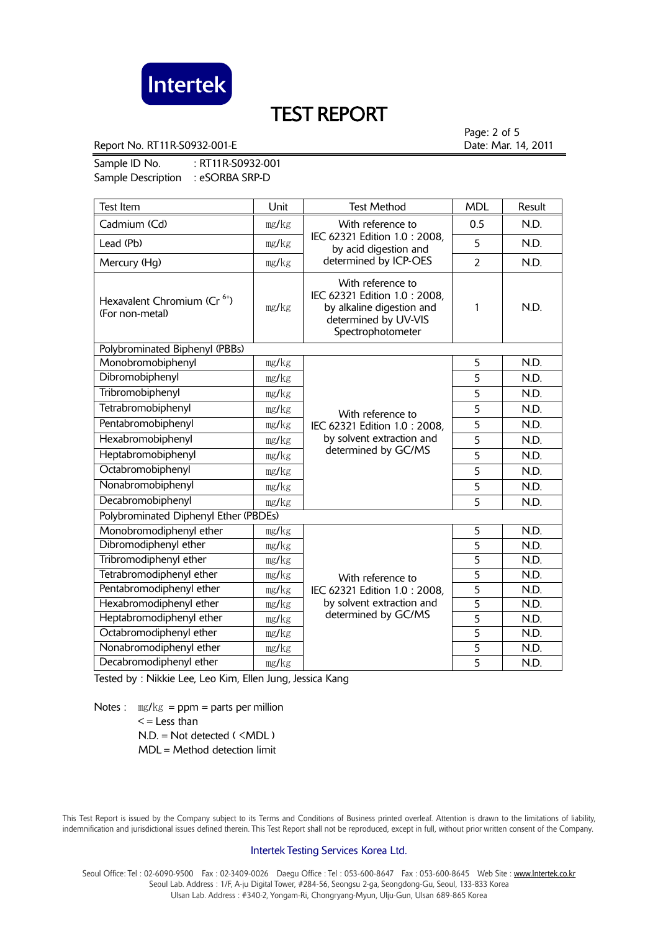

Report No. RT11R-S0932-001-E **Date: Mar. 14, 2011** 

Page: 2 of 5

Sample ID No. : RT11R-S0932-001 Sample Description : eSORBA SRP-D

| <b>Test Item</b>                                           | Unit  | <b>Test Method</b>                                                                                                           | <b>MDL</b>     | Result |
|------------------------------------------------------------|-------|------------------------------------------------------------------------------------------------------------------------------|----------------|--------|
| Cadmium (Cd)                                               | mg/kg | With reference to                                                                                                            | 0.5            | N.D.   |
| Lead (Pb)                                                  | mg/kg | IEC 62321 Edition 1.0: 2008,<br>by acid digestion and                                                                        | 5              | N.D.   |
| Mercury (Hg)                                               | mg/kg | determined by ICP-OES                                                                                                        | $\overline{2}$ | N.D.   |
| Hexavalent Chromium (Cr <sup>6+</sup> )<br>(For non-metal) | mg/kg | With reference to<br>IEC 62321 Edition 1.0 : 2008,<br>by alkaline digestion and<br>determined by UV-VIS<br>Spectrophotometer | 1              | N.D.   |
| Polybrominated Biphenyl (PBBs)                             |       |                                                                                                                              |                |        |
| Monobromobiphenyl                                          | mg/kg | With reference to<br>IEC 62321 Edition 1.0 : 2008,<br>by solvent extraction and<br>determined by GC/MS                       | 5              | N.D.   |
| Dibromobiphenyl                                            | mg/kg |                                                                                                                              | 5              | N.D.   |
| Tribromobiphenyl                                           | mg/kg |                                                                                                                              | 5              | N.D.   |
| Tetrabromobiphenyl                                         | mg/kg |                                                                                                                              | 5              | N.D.   |
| Pentabromobiphenyl                                         | mg/kg |                                                                                                                              | 5              | N.D.   |
| Hexabromobiphenyl                                          | mg/kg |                                                                                                                              | $\overline{5}$ | N.D.   |
| Heptabromobiphenyl                                         | mg/kg |                                                                                                                              | 5              | N.D.   |
| Octabromobiphenyl                                          | mg/kg |                                                                                                                              | 5              | N.D.   |
| Nonabromobiphenyl                                          | mg/kg |                                                                                                                              | 5              | N.D.   |
| Decabromobiphenyl                                          | mg/kg |                                                                                                                              | $\overline{5}$ | N.D.   |
| Polybrominated Diphenyl Ether (PBDEs)                      |       |                                                                                                                              |                |        |
| Monobromodiphenyl ether                                    | mg/kg |                                                                                                                              | 5              | N.D.   |
| Dibromodiphenyl ether                                      | mg/kg |                                                                                                                              | $\overline{5}$ | N.D.   |
| Tribromodiphenyl ether                                     | mg/kg |                                                                                                                              | 5              | N.D.   |
| Tetrabromodiphenyl ether                                   | mg/kg | With reference to<br>IEC 62321 Edition 1.0: 2008,<br>by solvent extraction and<br>determined by GC/MS                        | 5              | N.D.   |
| Pentabromodiphenyl ether                                   | mg/kg |                                                                                                                              | $\overline{5}$ | N.D.   |
| Hexabromodiphenyl ether                                    | mg/kg |                                                                                                                              | $\overline{5}$ | N.D.   |
| Heptabromodiphenyl ether                                   | mg/kg |                                                                                                                              | $\overline{5}$ | N.D.   |
| Octabromodiphenyl ether                                    | mg/kg |                                                                                                                              | $\overline{5}$ | N.D.   |
| Nonabromodiphenyl ether                                    | mg/kg |                                                                                                                              | 5              | N.D.   |
| Decabromodiphenyl ether                                    | mg/kg |                                                                                                                              | $\overline{5}$ | N.D.   |

Tested by : Nikkie Lee, Leo Kim, Ellen Jung, Jessica Kang

Notes :  $\text{mg/kg} = \text{ppm} = \text{parts per million}$  $\leq$  = Less than  $N.D. = Not detected ( **MDL**)$ MDL = Method detection limit

 This Test Report is issued by the Company subject to its Terms and Conditions of Business printed overleaf. Attention is drawn to the limitations of liability, indemnification and jurisdictional issues defined therein. This Test Report shall not be reproduced, except in full, without prior written consent of the Company.

#### Intertek Testing Services Korea Ltd.

Seoul Office: Tel: 02-6090-9500 Fax: 02-3409-0026 Daegu Office: Tel: 053-600-8647 Fax: 053-600-8645 Web Site: www.Intertek.co.kr Seoul Lab. Address : 1/F, A-ju Digital Tower, #284-56, Seongsu 2-ga, Seongdong-Gu, Seoul, 133-833 Korea Ulsan Lab. Address : #340-2, Yongam-Ri, Chongryang-Myun, Ulju-Gun, Ulsan 689-865 Korea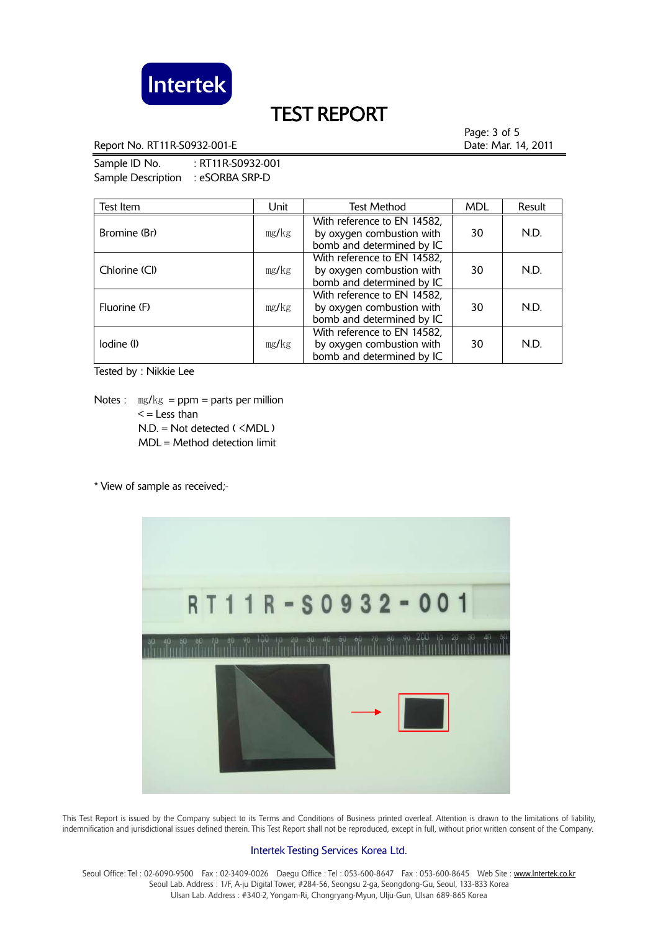

Report No. RT11R-S0932-001-E **Date: Mar. 14, 2011** 

Sample ID No. : RT11R-S0932-001 Sample Description : eSORBA SRP-D

Test Item **Test Item** Internal Unit | Test Method | MDL | Result Bromine (Br) ㎎/㎏ With reference to EN 14582 by oxygen combustion with bomb and determined by IC 30 N.D. Chlorine (Cl) ㎎/㎏ With reference to EN 14582, by oxygen combustion with bomb and determined by IC 30 N.D. Fluorine (F) ㎎/㎏ With reference to EN 14582, by oxygen combustion with bomb and determined by IC 30 N.D.  $I$ odine (I)  $mg/kg$ With reference to EN 14582, by oxygen combustion with bomb and determined by IC 30 N.D.

Tested by : Nikkie Lee

Notes :  $\text{mg/kg} = \text{ppm} = \text{parts per million}$  $\leq$  = Less than N.D. = Not detected ( <MDL ) MDL = Method detection limit

\* View of sample as received;-



 This Test Report is issued by the Company subject to its Terms and Conditions of Business printed overleaf. Attention is drawn to the limitations of liability, indemnification and jurisdictional issues defined therein. This Test Report shall not be reproduced, except in full, without prior written consent of the Company.

#### Intertek Testing Services Korea Ltd.

Seoul Office: Tel : 02-6090-9500 Fax : 02-3409-0026 Daegu Office : Tel : 053-600-8647 Fax : 053-600-8645 Web Site : www.Intertek.co.kr Seoul Lab. Address : 1/F, A-ju Digital Tower, #284-56, Seongsu 2-ga, Seongdong-Gu, Seoul, 133-833 Korea Ulsan Lab. Address : #340-2, Yongam-Ri, Chongryang-Myun, Ulju-Gun, Ulsan 689-865 Korea

Page: 3 of 5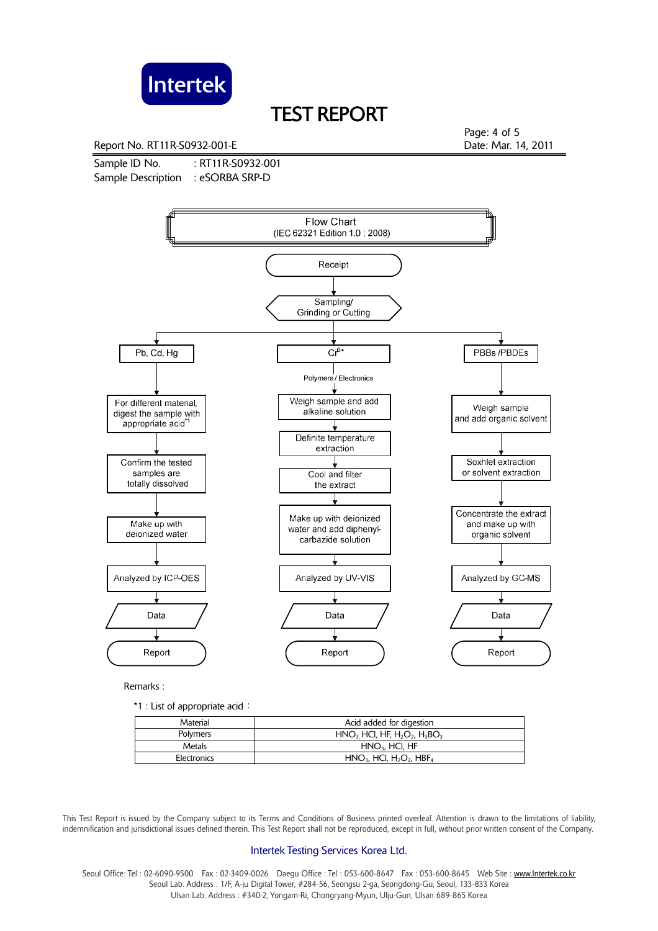

Report No. RT11R-S0932-001-E **Date: Mar. 14, 2011** 

Sample ID No. : RT11R-S0932-001 Sample Description : eSORBA SRP-D

Page: 4 of 5



Remarks :

\*1 : List of appropriate acid:

| Material    | Acid added for digestion                                       |
|-------------|----------------------------------------------------------------|
| Polymers    | $HNO3 HCl, HF, H2O2, H3BO3$                                    |
| Metals      | $HNO3$ , HCI, HF                                               |
| Electronics | $HNO3$ , HCI, H <sub>2</sub> O <sub>2</sub> , HBF <sub>4</sub> |

 This Test Report is issued by the Company subject to its Terms and Conditions of Business printed overleaf. Attention is drawn to the limitations of liability, indemnification and jurisdictional issues defined therein. This Test Report shall not be reproduced, except in full, without prior written consent of the Company.

#### Intertek Testing Services Korea Ltd.

Seoul Office: Tel : 02-6090-9500 Fax : 02-3409-0026 Daegu Office : Tel : 053-600-8647 Fax : 053-600-8645 Web Site : www.Intertek.co.kr Seoul Lab. Address : 1/F, A-ju Digital Tower, #284-56, Seongsu 2-ga, Seongdong-Gu, Seoul, 133-833 Korea Ulsan Lab. Address : #340-2, Yongam-Ri, Chongryang-Myun, Ulju-Gun, Ulsan 689-865 Korea